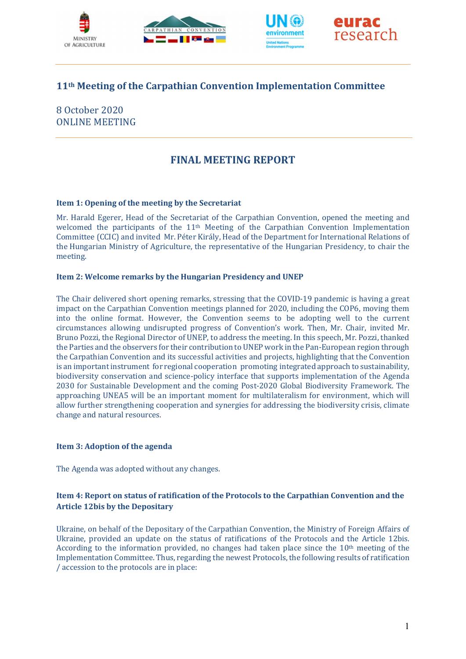





# 11th Meeting of the Carpathian Convention Implementation Committee

8 October 2020 ONLINE MEETING

# FINAL MEETING REPORT

#### Item 1: Opening of the meeting by the Secretariat

Mr. Harald Egerer, Head of the Secretariat of the Carpathian Convention, opened the meeting and welcomed the participants of the 11<sup>th</sup> Meeting of the Carpathian Convention Implementation Committee (CCIC) and invited Mr. Péter Király, Head of the Department for International Relations of the Hungarian Ministry of Agriculture, the representative of the Hungarian Presidency, to chair the meeting.

#### Item 2: Welcome remarks by the Hungarian Presidency and UNEP

The Chair delivered short opening remarks, stressing that the COVID-19 pandemic is having a great impact on the Carpathian Convention meetings planned for 2020, including the COP6, moving them into the online format. However, the Convention seems to be adopting well to the current circumstances allowing undisrupted progress of Convention's work. Then, Mr. Chair, invited Mr. Bruno Pozzi, the Regional Director of UNEP, to address the meeting. In this speech, Mr. Pozzi, thanked the Parties and the observers for their contribution to UNEP work in the Pan-European region through the Carpathian Convention and its successful activities and projects, highlighting that the Convention is an important instrument for regional cooperation promoting integrated approach to sustainability, biodiversity conservation and science-policy interface that supports implementation of the Agenda 2030 for Sustainable Development and the coming Post-2020 Global Biodiversity Framework. The approaching UNEA5 will be an important moment for multilateralism for environment, which will allow further strengthening cooperation and synergies for addressing the biodiversity crisis, climate change and natural resources.

#### Item 3: Adoption of the agenda

The Agenda was adopted without any changes.

## Item 4: Report on status of ratification of the Protocols to the Carpathian Convention and the Article 12bis by the Depositary

Ukraine, on behalf of the Depositary of the Carpathian Convention, the Ministry of Foreign Affairs of Ukraine, provided an update on the status of ratifications of the Protocols and the Article 12bis. According to the information provided, no changes had taken place since the 10<sup>th</sup> meeting of the Implementation Committee. Thus, regarding the newest Protocols, the following results of ratification / accession to the protocols are in place: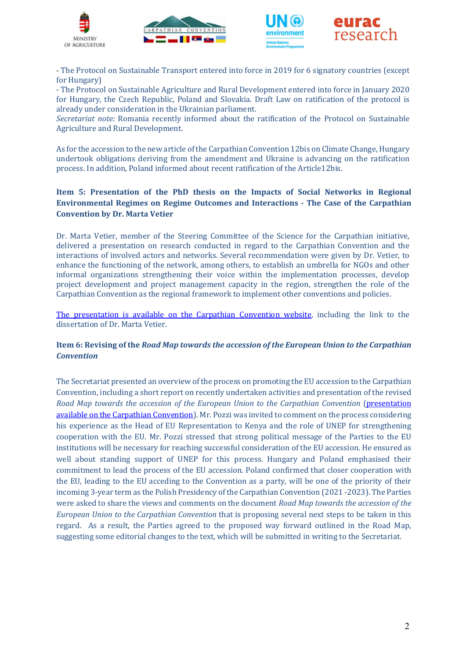







- The Protocol on Sustainable Transport entered into force in 2019 for 6 signatory countries (except for Hungary)

- The Protocol on Sustainable Agriculture and Rural Development entered into force in January 2020 for Hungary, the Czech Republic, Poland and Slovakia. Draft Law on ratification of the protocol is already under consideration in the Ukrainian parliament.

Secretariat note: Romania recently informed about the ratification of the Protocol on Sustainable Agriculture and Rural Development.

As for the accession to the new article of the Carpathian Convention 12bis on Climate Change, Hungary undertook obligations deriving from the amendment and Ukraine is advancing on the ratification process. In addition, Poland informed about recent ratification of the Article12bis.

## Item 5: Presentation of the PhD thesis on the Impacts of Social Networks in Regional Environmental Regimes on Regime Outcomes and Interactions - The Case of the Carpathian Convention by Dr. Marta Vetier

Dr. Marta Vetier, member of the Steering Committee of the Science for the Carpathian initiative, delivered a presentation on research conducted in regard to the Carpathian Convention and the interactions of involved actors and networks. Several recommendation were given by Dr. Vetier, to enhance the functioning of the network, among others, to establish an umbrella for NGOs and other informal organizations strengthening their voice within the implementation processes, develop project development and project management capacity in the region, strengthen the role of the Carpathian Convention as the regional framework to implement other conventions and policies.

The presentation is available on the Carpathian Convention website, including the link to the dissertation of Dr. Marta Vetier.

## Item 6: Revising of the Road Map towards the accession of the European Union to the Carpathian **Convention**

The Secretariat presented an overview of the process on promoting the EU accession to the Carpathian Convention, including a short report on recently undertaken activities and presentation of the revised Road Map towards the accession of the European Union to the Carpathian Convention (presentation available on the Carpathian Convention). Mr. Pozzi was invited to comment on the process considering his experience as the Head of EU Representation to Kenya and the role of UNEP for strengthening cooperation with the EU. Mr. Pozzi stressed that strong political message of the Parties to the EU institutions will be necessary for reaching successful consideration of the EU accession. He ensured as well about standing support of UNEP for this process. Hungary and Poland emphasised their commitment to lead the process of the EU accession. Poland confirmed that closer cooperation with the EU, leading to the EU acceding to the Convention as a party, will be one of the priority of their incoming 3-year term as the Polish Presidency of the Carpathian Convention (2021 -2023). The Parties were asked to share the views and comments on the document Road Map towards the accession of the European Union to the Carpathian Convention that is proposing several next steps to be taken in this regard. As a result, the Parties agreed to the proposed way forward outlined in the Road Map, suggesting some editorial changes to the text, which will be submitted in writing to the Secretariat.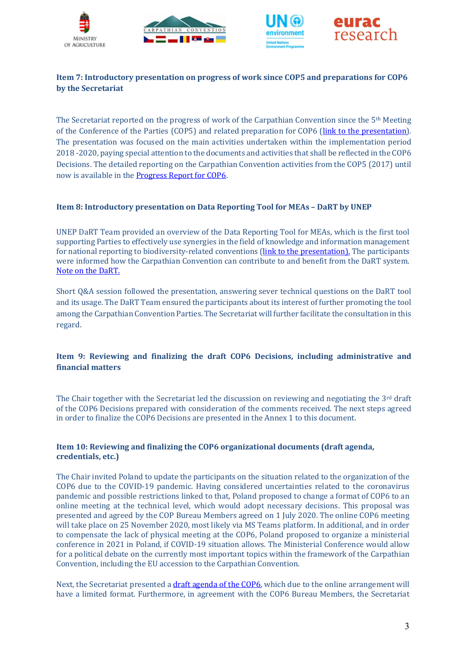







# Item 7: Introductory presentation on progress of work since COP5 and preparations for COP6 by the Secretariat

The Secretariat reported on the progress of work of the Carpathian Convention since the  $5<sup>th</sup>$  Meeting of the Conference of the Parties (COP5) and related preparation for COP6 (link to the presentation). The presentation was focused on the main activities undertaken within the implementation period 2018 -2020, paying special attention to the documents and activities that shall be reflected in the COP6 Decisions. The detailed reporting on the Carpathian Convention activities from the COP5 (2017) until now is available in the Progress Report for COP6.

## Item 8: Introductory presentation on Data Reporting Tool for MEAs – DaRT by UNEP

UNEP DaRT Team provided an overview of the Data Reporting Tool for MEAs, which is the first tool supporting Parties to effectively use synergies in the field of knowledge and information management for national reporting to biodiversity-related conventions (link to the presentation). The participants were informed how the Carpathian Convention can contribute to and benefit from the DaRT system. Note on the DaRT.

Short Q&A session followed the presentation, answering sever technical questions on the DaRT tool and its usage. The DaRT Team ensured the participants about its interest of further promoting the tool among the Carpathian Convention Parties. The Secretariat will further facilitate the consultation in this regard.

## Item 9: Reviewing and finalizing the draft COP6 Decisions, including administrative and financial matters

The Chair together with the Secretariat led the discussion on reviewing and negotiating the 3rd draft of the COP6 Decisions prepared with consideration of the comments received. The next steps agreed in order to finalize the COP6 Decisions are presented in the Annex 1 to this document.

#### Item 10: Reviewing and finalizing the COP6 organizational documents (draft agenda, credentials, etc.)

The Chair invited Poland to update the participants on the situation related to the organization of the COP6 due to the COVID-19 pandemic. Having considered uncertainties related to the coronavirus pandemic and possible restrictions linked to that, Poland proposed to change a format of COP6 to an online meeting at the technical level, which would adopt necessary decisions. This proposal was presented and agreed by the COP Bureau Members agreed on 1 July 2020. The online COP6 meeting will take place on 25 November 2020, most likely via MS Teams platform. In additional, and in order to compensate the lack of physical meeting at the COP6, Poland proposed to organize a ministerial conference in 2021 in Poland, if COVID-19 situation allows. The Ministerial Conference would allow for a political debate on the currently most important topics within the framework of the Carpathian Convention, including the EU accession to the Carpathian Convention.

Next, the Secretariat presented a draft agenda of the COP6, which due to the online arrangement will have a limited format. Furthermore, in agreement with the COP6 Bureau Members, the Secretariat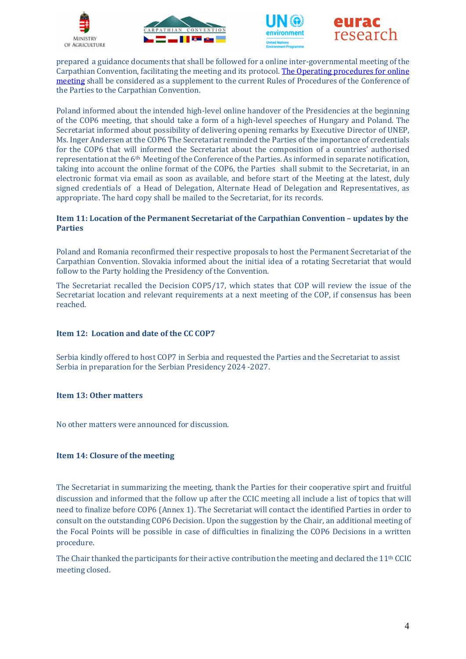







prepared a guidance documents that shall be followed for a online inter-governmental meeting of the Carpathian Convention, facilitating the meeting and its protocol. The Operating procedures for online meeting shall be considered as a supplement to the current Rules of Procedures of the Conference of the Parties to the Carpathian Convention.

Poland informed about the intended high-level online handover of the Presidencies at the beginning of the COP6 meeting, that should take a form of a high-level speeches of Hungary and Poland. The Secretariat informed about possibility of delivering opening remarks by Executive Director of UNEP, Ms. Inger Andersen at the COP6 The Secretariat reminded the Parties of the importance of credentials for the COP6 that will informed the Secretariat about the composition of a countries' authorised representation at the 6th Meeting of the Conference of the Parties. As informed in separate notification, taking into account the online format of the COP6, the Parties shall submit to the Secretariat, in an electronic format via email as soon as available, and before start of the Meeting at the latest, duly signed credentials of a Head of Delegation, Alternate Head of Delegation and Representatives, as appropriate. The hard copy shall be mailed to the Secretariat, for its records.

#### Item 11: Location of the Permanent Secretariat of the Carpathian Convention – updates by the Parties

Poland and Romania reconfirmed their respective proposals to host the Permanent Secretariat of the Carpathian Convention. Slovakia informed about the initial idea of a rotating Secretariat that would follow to the Party holding the Presidency of the Convention.

The Secretariat recalled the Decision COP5/17, which states that COP will review the issue of the Secretariat location and relevant requirements at a next meeting of the COP, if consensus has been reached.

## Item 12: Location and date of the CC COP7

Serbia kindly offered to host COP7 in Serbia and requested the Parties and the Secretariat to assist Serbia in preparation for the Serbian Presidency 2024 -2027.

#### Item 13: Other matters

No other matters were announced for discussion.

#### Item 14: Closure of the meeting

The Secretariat in summarizing the meeting, thank the Parties for their cooperative spirt and fruitful discussion and informed that the follow up after the CCIC meeting all include a list of topics that will need to finalize before COP6 (Annex 1). The Secretariat will contact the identified Parties in order to consult on the outstanding COP6 Decision. Upon the suggestion by the Chair, an additional meeting of the Focal Points will be possible in case of difficulties in finalizing the COP6 Decisions in a written procedure.

The Chair thanked the participants for their active contribution the meeting and declared the 11th CCIC meeting closed.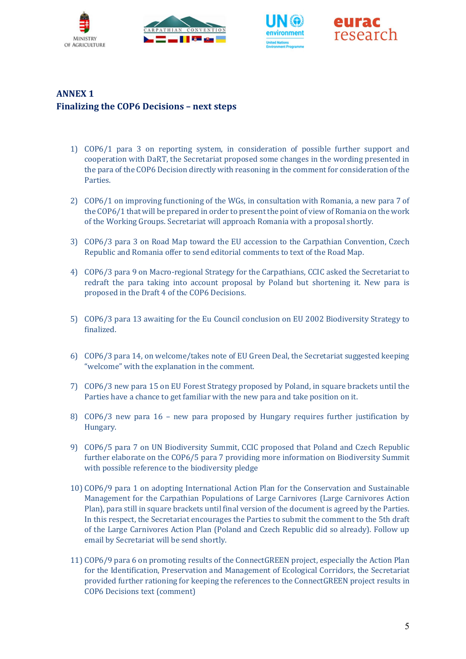





# ANNEX 1 Finalizing the COP6 Decisions – next steps

- 1) COP6/1 para 3 on reporting system, in consideration of possible further support and cooperation with DaRT, the Secretariat proposed some changes in the wording presented in the para of the COP6 Decision directly with reasoning in the comment for consideration of the Parties.
- 2) COP6/1 on improving functioning of the WGs, in consultation with Romania, a new para 7 of the COP6/1 that will be prepared in order to present the point of view of Romania on the work of the Working Groups. Secretariat will approach Romania with a proposal shortly.
- 3) COP6/3 para 3 on Road Map toward the EU accession to the Carpathian Convention, Czech Republic and Romania offer to send editorial comments to text of the Road Map.
- 4) COP6/3 para 9 on Macro-regional Strategy for the Carpathians, CCIC asked the Secretariat to redraft the para taking into account proposal by Poland but shortening it. New para is proposed in the Draft 4 of the COP6 Decisions.
- 5) COP6/3 para 13 awaiting for the Eu Council conclusion on EU 2002 Biodiversity Strategy to finalized.
- 6) COP6/3 para 14, on welcome/takes note of EU Green Deal, the Secretariat suggested keeping "welcome" with the explanation in the comment.
- 7) COP6/3 new para 15 on EU Forest Strategy proposed by Poland, in square brackets until the Parties have a chance to get familiar with the new para and take position on it.
- 8) COP6/3 new para 16 new para proposed by Hungary requires further justification by Hungary.
- 9) COP6/5 para 7 on UN Biodiversity Summit, CCIC proposed that Poland and Czech Republic further elaborate on the COP6/5 para 7 providing more information on Biodiversity Summit with possible reference to the biodiversity pledge
- 10) COP6/9 para 1 on adopting International Action Plan for the Conservation and Sustainable Management for the Carpathian Populations of Large Carnivores (Large Carnivores Action Plan), para still in square brackets until final version of the document is agreed by the Parties. In this respect, the Secretariat encourages the Parties to submit the comment to the 5th draft of the Large Carnivores Action Plan (Poland and Czech Republic did so already). Follow up email by Secretariat will be send shortly.
- 11) COP6/9 para 6 on promoting results of the ConnectGREEN project, especially the Action Plan for the Identification, Preservation and Management of Ecological Corridors, the Secretariat provided further rationing for keeping the references to the ConnectGREEN project results in COP6 Decisions text (comment)